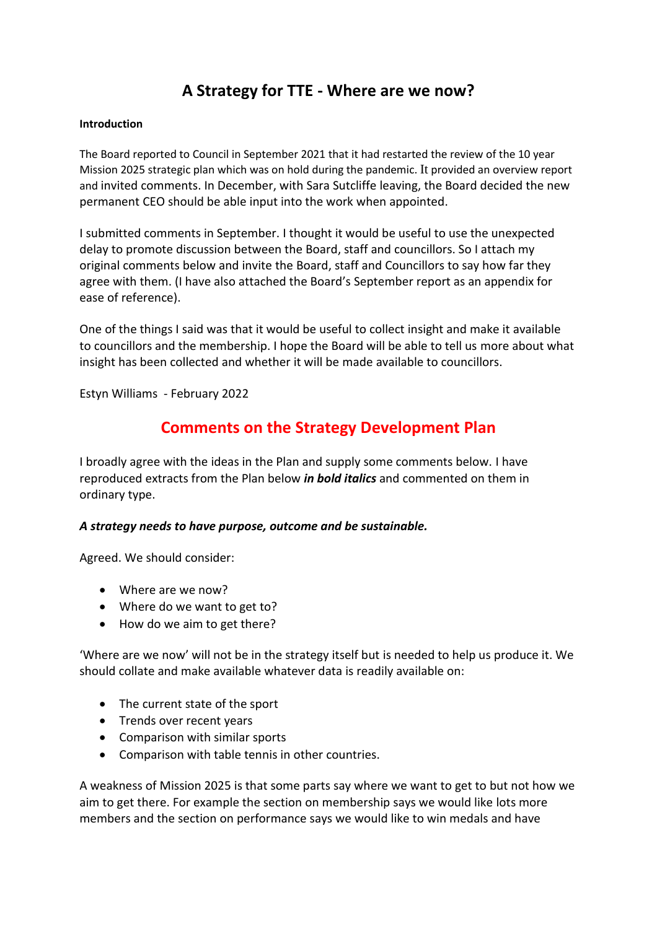# **A Strategy for TTE - Where are we now?**

### **Introduction**

The Board reported to Council in September 2021 that it had restarted the review of the 10 year Mission 2025 strategic plan which was on hold during the pandemic. It provided an overview report and invited comments. In December, with Sara Sutcliffe leaving, the Board decided the new permanent CEO should be able input into the work when appointed.

I submitted comments in September. I thought it would be useful to use the unexpected delay to promote discussion between the Board, staff and councillors. So I attach my original comments below and invite the Board, staff and Councillors to say how far they agree with them. (I have also attached the Board's September report as an appendix for ease of reference).

One of the things I said was that it would be useful to collect insight and make it available to councillors and the membership. I hope the Board will be able to tell us more about what insight has been collected and whether it will be made available to councillors.

Estyn Williams - February 2022

## **Comments on the Strategy Development Plan**

I broadly agree with the ideas in the Plan and supply some comments below. I have reproduced extracts from the Plan below *in bold italics* and commented on them in ordinary type.

### *A strategy needs to have purpose, outcome and be sustainable.*

Agreed. We should consider:

- Where are we now?
- Where do we want to get to?
- How do we aim to get there?

'Where are we now' will not be in the strategy itself but is needed to help us produce it. We should collate and make available whatever data is readily available on:

- The current state of the sport
- Trends over recent years
- Comparison with similar sports
- Comparison with table tennis in other countries.

A weakness of Mission 2025 is that some parts say where we want to get to but not how we aim to get there. For example the section on membership says we would like lots more members and the section on performance says we would like to win medals and have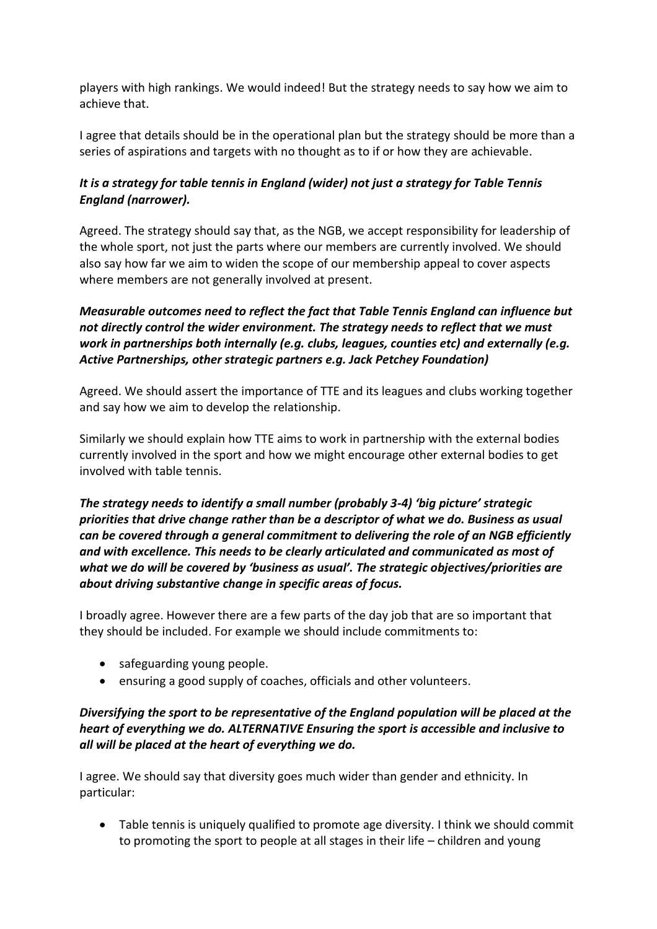players with high rankings. We would indeed! But the strategy needs to say how we aim to achieve that.

I agree that details should be in the operational plan but the strategy should be more than a series of aspirations and targets with no thought as to if or how they are achievable.

## *It is a strategy for table tennis in England (wider) not just a strategy for Table Tennis England (narrower).*

Agreed. The strategy should say that, as the NGB, we accept responsibility for leadership of the whole sport, not just the parts where our members are currently involved. We should also say how far we aim to widen the scope of our membership appeal to cover aspects where members are not generally involved at present.

## *Measurable outcomes need to reflect the fact that Table Tennis England can influence but not directly control the wider environment. The strategy needs to reflect that we must work in partnerships both internally (e.g. clubs, leagues, counties etc) and externally (e.g. Active Partnerships, other strategic partners e.g. Jack Petchey Foundation)*

Agreed. We should assert the importance of TTE and its leagues and clubs working together and say how we aim to develop the relationship.

Similarly we should explain how TTE aims to work in partnership with the external bodies currently involved in the sport and how we might encourage other external bodies to get involved with table tennis.

*The strategy needs to identify a small number (probably 3-4) 'big picture' strategic priorities that drive change rather than be a descriptor of what we do. Business as usual can be covered through a general commitment to delivering the role of an NGB efficiently and with excellence. This needs to be clearly articulated and communicated as most of what we do will be covered by 'business as usual'. The strategic objectives/priorities are about driving substantive change in specific areas of focus.* 

I broadly agree. However there are a few parts of the day job that are so important that they should be included. For example we should include commitments to:

- safeguarding young people.
- ensuring a good supply of coaches, officials and other volunteers.

## *Diversifying the sport to be representative of the England population will be placed at the heart of everything we do. ALTERNATIVE Ensuring the sport is accessible and inclusive to all will be placed at the heart of everything we do.*

I agree. We should say that diversity goes much wider than gender and ethnicity. In particular:

• Table tennis is uniquely qualified to promote age diversity. I think we should commit to promoting the sport to people at all stages in their life – children and young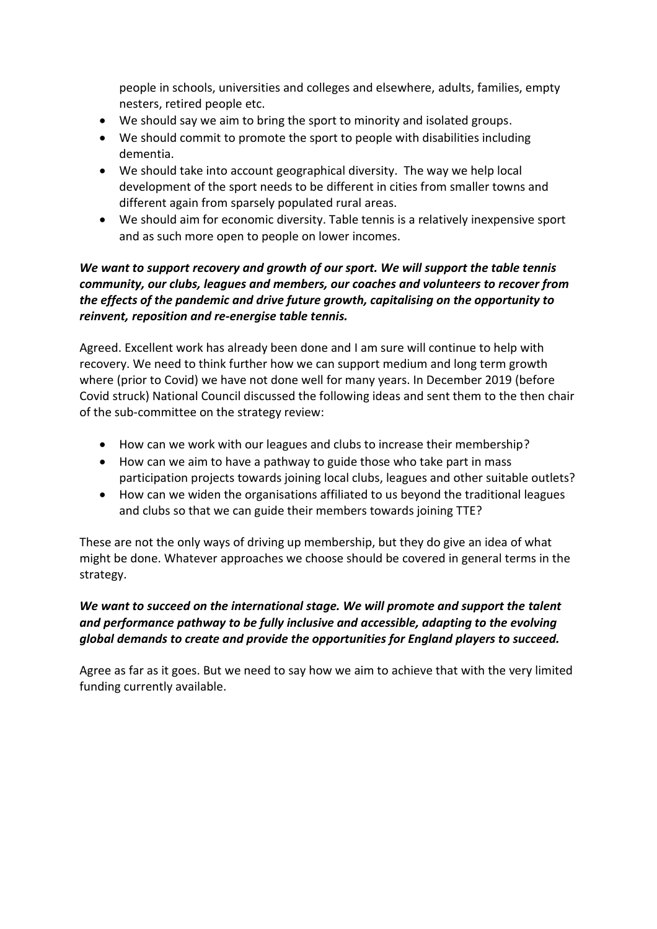people in schools, universities and colleges and elsewhere, adults, families, empty nesters, retired people etc.

- We should say we aim to bring the sport to minority and isolated groups.
- We should commit to promote the sport to people with disabilities including dementia.
- We should take into account geographical diversity. The way we help local development of the sport needs to be different in cities from smaller towns and different again from sparsely populated rural areas.
- We should aim for economic diversity. Table tennis is a relatively inexpensive sport and as such more open to people on lower incomes.

## *We want to support recovery and growth of our sport. We will support the table tennis community, our clubs, leagues and members, our coaches and volunteers to recover from the effects of the pandemic and drive future growth, capitalising on the opportunity to reinvent, reposition and re-energise table tennis.*

Agreed. Excellent work has already been done and I am sure will continue to help with recovery. We need to think further how we can support medium and long term growth where (prior to Covid) we have not done well for many years. In December 2019 (before Covid struck) National Council discussed the following ideas and sent them to the then chair of the sub-committee on the strategy review:

- How can we work with our leagues and clubs to increase their membership?
- How can we aim to have a pathway to guide those who take part in mass participation projects towards joining local clubs, leagues and other suitable outlets?
- How can we widen the organisations affiliated to us beyond the traditional leagues and clubs so that we can guide their members towards joining TTE?

These are not the only ways of driving up membership, but they do give an idea of what might be done. Whatever approaches we choose should be covered in general terms in the strategy.

## *We want to succeed on the international stage. We will promote and support the talent and performance pathway to be fully inclusive and accessible, adapting to the evolving global demands to create and provide the opportunities for England players to succeed.*

Agree as far as it goes. But we need to say how we aim to achieve that with the very limited funding currently available.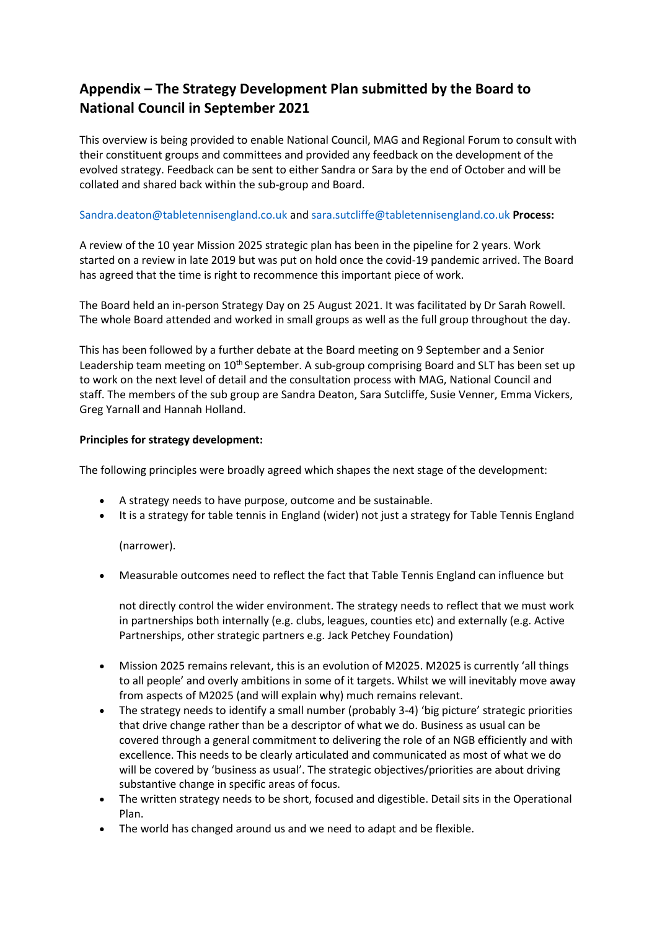## **Appendix – The Strategy Development Plan submitted by the Board to National Council in September 2021**

This overview is being provided to enable National Council, MAG and Regional Forum to consult with their constituent groups and committees and provided any feedback on the development of the evolved strategy. Feedback can be sent to either Sandra or Sara by the end of October and will be collated and shared back within the sub-group and Board.

### Sandra.deaton@tabletennisengland.co.uk and sara.sutcliffe@tabletennisengland.co.uk **Process:**

A review of the 10 year Mission 2025 strategic plan has been in the pipeline for 2 years. Work started on a review in late 2019 but was put on hold once the covid-19 pandemic arrived. The Board has agreed that the time is right to recommence this important piece of work.

The Board held an in-person Strategy Day on 25 August 2021. It was facilitated by Dr Sarah Rowell. The whole Board attended and worked in small groups as well as the full group throughout the day.

This has been followed by a further debate at the Board meeting on 9 September and a Senior Leadership team meeting on 10<sup>th</sup> September. A sub-group comprising Board and SLT has been set up to work on the next level of detail and the consultation process with MAG, National Council and staff. The members of the sub group are Sandra Deaton, Sara Sutcliffe, Susie Venner, Emma Vickers, Greg Yarnall and Hannah Holland.

### **Principles for strategy development:**

The following principles were broadly agreed which shapes the next stage of the development:

- A strategy needs to have purpose, outcome and be sustainable.
- It is a strategy for table tennis in England (wider) not just a strategy for Table Tennis England

(narrower).

• Measurable outcomes need to reflect the fact that Table Tennis England can influence but

not directly control the wider environment. The strategy needs to reflect that we must work in partnerships both internally (e.g. clubs, leagues, counties etc) and externally (e.g. Active Partnerships, other strategic partners e.g. Jack Petchey Foundation)

- Mission 2025 remains relevant, this is an evolution of M2025. M2025 is currently 'all things to all people' and overly ambitions in some of it targets. Whilst we will inevitably move away from aspects of M2025 (and will explain why) much remains relevant.
- The strategy needs to identify a small number (probably 3-4) 'big picture' strategic priorities that drive change rather than be a descriptor of what we do. Business as usual can be covered through a general commitment to delivering the role of an NGB efficiently and with excellence. This needs to be clearly articulated and communicated as most of what we do will be covered by 'business as usual'. The strategic objectives/priorities are about driving substantive change in specific areas of focus.
- The written strategy needs to be short, focused and digestible. Detail sits in the Operational Plan.
- The world has changed around us and we need to adapt and be flexible.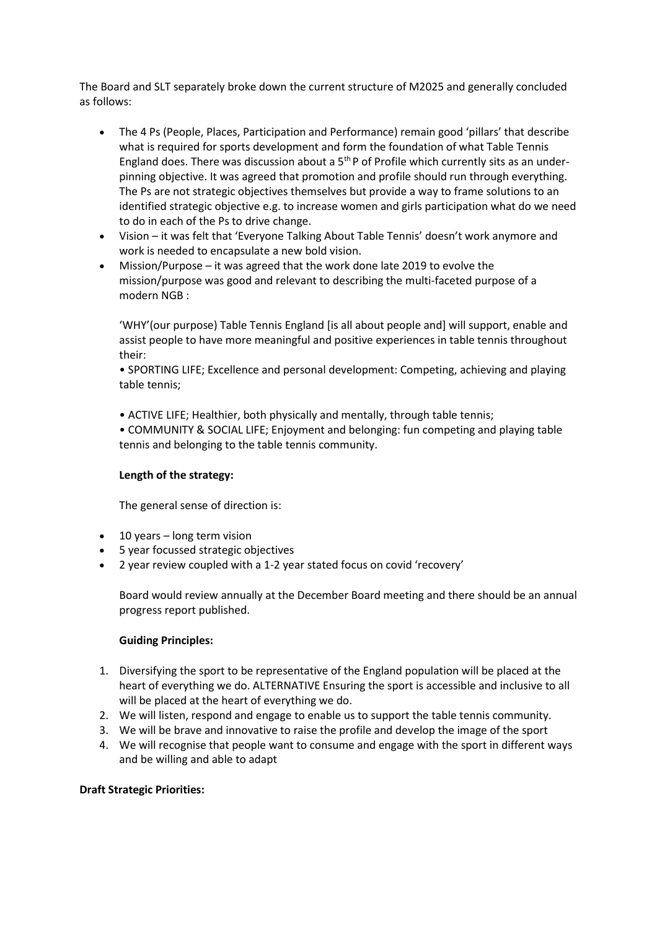The Board and SLT separately broke down the current structure of M2025 and generally concluded as follows:

- The 4 Ps (People, Places, Participation and Performance) remain good 'pillars' that describe what is required for sports development and form the foundation of what Table Tennis England does. There was discussion about a 5<sup>th</sup> P of Profile which currently sits as an underpinning objective. It was agreed that promotion and profile should run through everything. The Ps are not strategic objectives themselves but provide a way to frame solutions to an identified strategic objective e.g. to increase women and girls participation what do we need to do in each of the Ps to drive change.
- Vision it was felt that 'Everyone Talking About Table Tennis' doesn't work anymore and work is needed to encapsulate a new bold vision.
- Mission/Purpose it was agreed that the work done late 2019 to evolve the mission/purpose was good and relevant to describing the multi-faceted purpose of a modern NGB :

'WHY'(our purpose) Table Tennis England [is all about people and] will support, enable and assist people to have more meaningful and positive experiences in table tennis throughout their:

• SPORTING LIFE; Excellence and personal development: Competing, achieving and playing table tennis;

• ACTIVE LIFE; Healthier, both physically and mentally, through table tennis;

• COMMUNITY & SOCIAL LIFE; Enjoyment and belonging: fun competing and playing table tennis and belonging to the table tennis community.

### **Length of the strategy:**

The general sense of direction is:

- 10 years long term vision
- 5 year focussed strategic objectives
- 2 year review coupled with a 1-2 year stated focus on covid 'recovery'

Board would review annually at the December Board meeting and there should be an annual progress report published.

### **Guiding Principles:**

- 1. Diversifying the sport to be representative of the England population will be placed at the heart of everything we do. ALTERNATIVE Ensuring the sport is accessible and inclusive to all will be placed at the heart of everything we do.
- 2. We will listen, respond and engage to enable us to support the table tennis community.
- 3. We will be brave and innovative to raise the profile and develop the image of the sport
- 4. We will recognise that people want to consume and engage with the sport in different ways and be willing and able to adapt

### **Draft Strategic Priorities:**